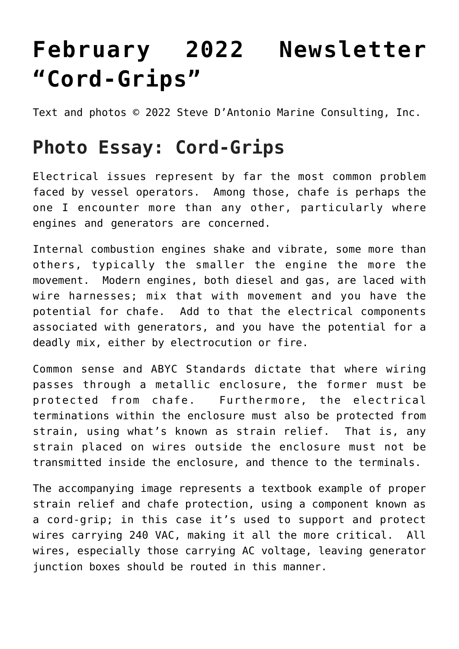# **[February 2022 Newsletter](https://stevedmarineconsulting.com/february-2022-newsletter-cord-grips/) ["Cord-Grips"](https://stevedmarineconsulting.com/february-2022-newsletter-cord-grips/)**

Text and photos © 2022 Steve D'Antonio Marine Consulting, Inc.

## **Photo Essay: Cord-Grips**

Electrical issues represent by far the most common problem faced by vessel operators. Among those, chafe is perhaps the one I encounter more than any other, particularly where engines and generators are concerned.

Internal combustion engines shake and vibrate, some more than others, typically the smaller the engine the more the movement. Modern engines, both diesel and gas, are laced with wire harnesses; mix that with movement and you have the potential for chafe. Add to that the electrical components associated with generators, and you have the potential for a deadly mix, either by electrocution or fire.

Common sense and ABYC Standards dictate that where wiring passes through a metallic enclosure, the former must be protected from chafe. Furthermore, the electrical terminations within the enclosure must also be protected from strain, using what's known as strain relief. That is, any strain placed on wires outside the enclosure must not be transmitted inside the enclosure, and thence to the terminals.

The accompanying image represents a textbook example of proper strain relief and chafe protection, using a component known as a cord-grip; in this case it's used to support and protect wires carrying 240 VAC, making it all the more critical. All wires, especially those carrying AC voltage, leaving generator junction boxes should be routed in this manner.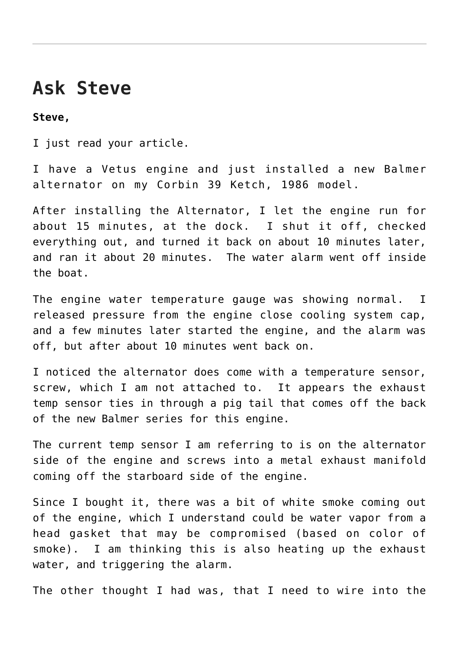### **Ask Steve**

**Steve,**

I just read [your article.](http://stevedmarineconsulting.com/search/EXHAUST+ALARM/)

I have a Vetus engine and just installed a new Balmer alternator on my Corbin 39 Ketch, 1986 model.

After installing the Alternator, I let the engine run for about 15 minutes, at the dock. I shut it off, checked everything out, and turned it back on about 10 minutes later, and ran it about 20 minutes. The water alarm went off inside the boat.

The engine water temperature gauge was showing normal. I released pressure from the engine close cooling system cap, and a few minutes later started the engine, and the alarm was off, but after about 10 minutes went back on.

I noticed the alternator does come with a temperature sensor, screw, which I am not attached to. It appears the exhaust temp sensor ties in through a pig tail that comes off the back of the new Balmer series for this engine.

The current temp sensor I am referring to is on the alternator side of the engine and screws into a metal exhaust manifold coming off the starboard side of the engine.

Since I bought it, there was a bit of white smoke coming out of the engine, which I understand could be water vapor from a head gasket that may be compromised (based on color of smoke). I am thinking this is also heating up the exhaust water, and triggering the alarm.

The other thought I had was, that I need to wire into the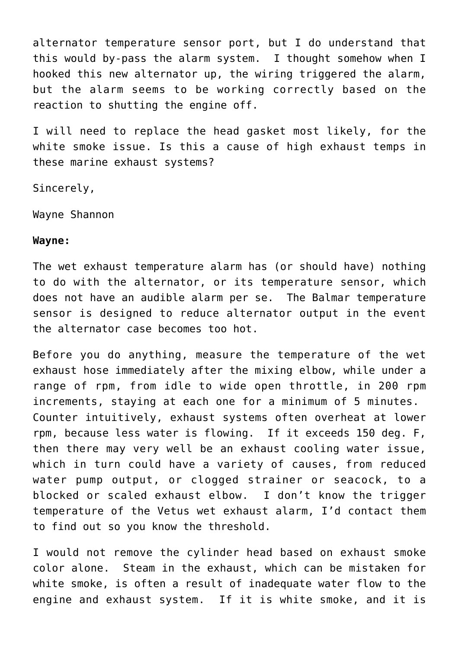alternator temperature sensor port, but I do understand that this would by-pass the alarm system. I thought somehow when I hooked this new alternator up, the wiring triggered the alarm, but the alarm seems to be working correctly based on the reaction to shutting the engine off.

I will need to replace the head gasket most likely, for the white smoke issue. Is this a cause of high exhaust temps in these marine exhaust systems?

Sincerely,

Wayne Shannon

#### **Wayne:**

The wet exhaust temperature alarm has (or should have) nothing to do with the alternator, or its temperature sensor, which does not have an audible alarm per se. The Balmar temperature sensor is designed to reduce alternator output in the event the alternator case becomes too hot.

Before you do anything, measure the temperature of the wet exhaust hose immediately after the mixing elbow, while under a range of rpm, from idle to wide open throttle, in 200 rpm increments, staying at each one for a minimum of 5 minutes. Counter intuitively, exhaust systems often overheat at lower rpm, because less water is flowing. If it exceeds 150 deg. F, then there may very well be an exhaust cooling water issue, which in turn could have a variety of causes, from reduced water pump output, or clogged strainer or seacock, to a blocked or scaled exhaust elbow. I don't know the trigger temperature of the Vetus wet exhaust alarm, I'd contact them to find out so you know the threshold.

I would not remove the cylinder head based on exhaust smoke color alone. Steam in the exhaust, which can be mistaken for white smoke, is often a result of inadequate water flow to the engine and exhaust system. If it is white smoke, and it is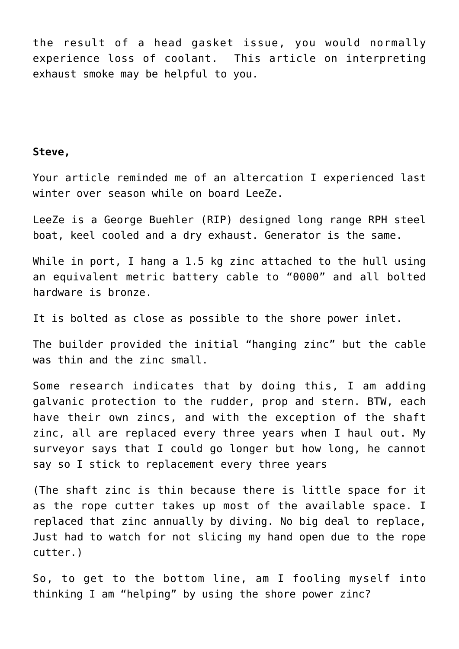the result of a head gasket issue, you would normally experience loss of coolant. [This article](https://oceannavigator.com/reading-exhaust-smoke/) on interpreting exhaust smoke may be helpful to you.

#### **Steve,**

[Your article](http://stevedmarineconsulting.com/category/ezine/) reminded me of an altercation I experienced last winter over season while on board Lee7e.

LeeZe is a George Buehler (RIP) designed long range RPH steel boat, keel cooled and a dry exhaust. Generator is the same.

While in port, I hang a 1.5 kg zinc attached to the hull using an equivalent metric battery cable to "0000" and all bolted hardware is bronze.

It is bolted as close as possible to the shore power inlet.

The builder provided the initial "hanging zinc" but the cable was thin and the zinc small.

Some research indicates that by doing this, I am adding galvanic protection to the rudder, prop and stern. BTW, each have their own zincs, and with the exception of the shaft zinc, all are replaced every three years when I haul out. My surveyor says that I could go longer but how long, he cannot say so I stick to replacement every three years

(The shaft zinc is thin because there is little space for it as the rope cutter takes up most of the available space. I replaced that zinc annually by diving. No big deal to replace, Just had to watch for not slicing my hand open due to the rope cutter.)

So, to get to the bottom line, am I fooling myself into thinking I am "helping" by using the shore power zinc?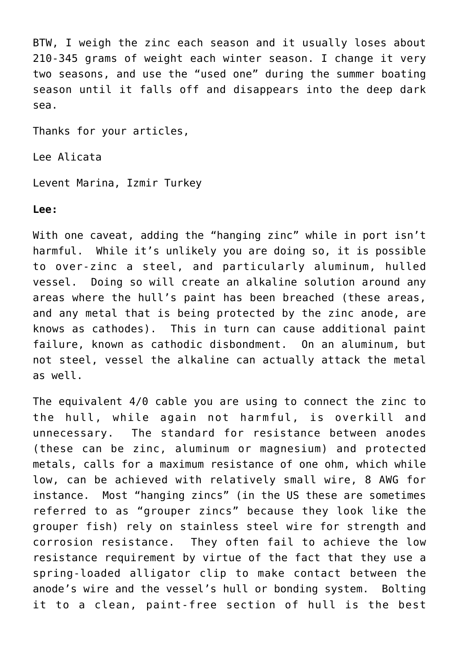BTW, I weigh the zinc each season and it usually loses about 210-345 grams of weight each winter season. I change it very two seasons, and use the "used one" during the summer boating season until it falls off and disappears into the deep dark sea.

Thanks for your articles,

Lee Alicata

Levent Marina, Izmir Turkey

**Lee:**

With one caveat, adding the "hanging zinc" while in port isn't harmful. While it's unlikely you are doing so, it is possible to over-zinc a steel, and particularly aluminum, hulled vessel. Doing so will create an alkaline solution around any areas where the hull's paint has been breached (these areas, and any metal that is being protected by the zinc anode, are knows as cathodes). This in turn can cause additional paint failure, known as cathodic disbondment. On an aluminum, but not steel, vessel the alkaline can actually attack the metal as well.

The equivalent 4/0 cable you are using to connect the zinc to the hull, while again not harmful, is overkill and unnecessary. The standard for resistance between anodes (these can be zinc, aluminum or magnesium) and protected metals, calls for a maximum resistance of one ohm, which while low, can be achieved with relatively small wire, 8 AWG for instance. Most "hanging zincs" (in the US these are sometimes referred to as "grouper zincs" because they look like the grouper fish) rely on stainless steel wire for strength and corrosion resistance. They often fail to achieve the low resistance requirement by virtue of the fact that they use a spring-loaded alligator clip to make contact between the anode's wire and the vessel's hull or bonding system. Bolting it to a clean, paint-free section of hull is the best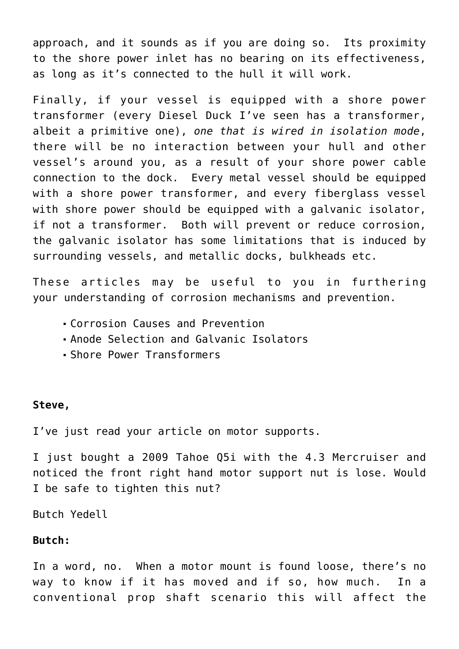approach, and it sounds as if you are doing so. Its proximity to the shore power inlet has no bearing on its effectiveness, as long as it's connected to the hull it will work.

Finally, if your vessel is equipped with a shore power transformer (every Diesel Duck I've seen has a transformer, albeit a primitive one), *one that is wired in isolation mode*, there will be no interaction between your hull and other vessel's around you, as a result of your shore power cable connection to the dock. Every metal vessel should be equipped with a shore power transformer, and every fiberglass vessel with shore power should be equipped with a galvanic isolator, if not a transformer. Both will prevent or reduce corrosion, the galvanic isolator has some limitations that is induced by surrounding vessels, and metallic docks, bulkheads etc.

These articles may be useful to you in furthering your understanding of corrosion mechanisms and prevention.

- [Corrosion Causes and Prevention](http://stevedmarineconsulting.com/wp-content/uploads/2014/03/Corrosion-CRWHS18_HOS4_FINAL.pdf)
- [Anode Selection and Galvanic Isolators](http://stevedmarineconsulting.com/galvanic-isolators-and-zinc-anode-selection/)
- [Shore Power Transformers](http://stevedmarineconsulting.com/wp-content/uploads/2014/03/OV_transformers.pdf)

#### **Steve,**

I've just read [your article](https://stevedmarineconsulting.com/motor-mounts/) on motor supports.

I just bought a 2009 Tahoe Q5i with the 4.3 Mercruiser and noticed the front right hand motor support nut is lose. Would I be safe to tighten this nut?

Butch Yedell

#### **Butch:**

In a word, no. When a motor mount is found loose, there's no way to know if it has moved and if so, how much. In a conventional prop shaft scenario this will affect the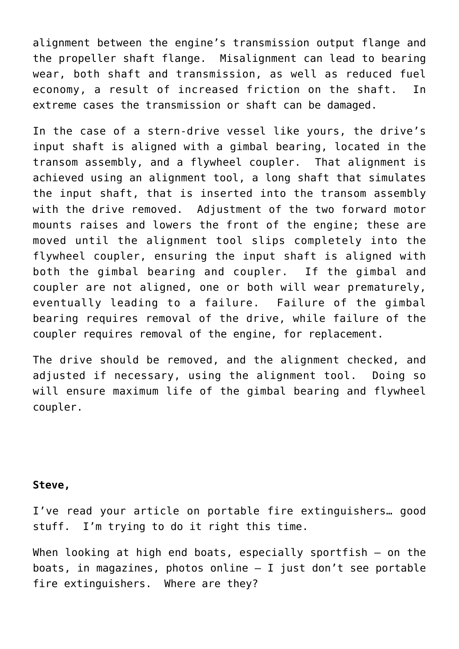alignment between the engine's transmission output flange and the propeller shaft flange. Misalignment can lead to bearing wear, both shaft and transmission, as well as reduced fuel economy, a result of increased friction on the shaft. In extreme cases the transmission or shaft can be damaged.

In the case of a stern-drive vessel like yours, the drive's input shaft is aligned with a gimbal bearing, located in the transom assembly, and a flywheel coupler. That alignment is achieved using an alignment tool, a long shaft that simulates the input shaft, that is inserted into the transom assembly with the drive removed. Adjustment of the two forward motor mounts raises and lowers the front of the engine; these are moved until the alignment tool slips completely into the flywheel coupler, ensuring the input shaft is aligned with both the gimbal bearing and coupler. If the gimbal and coupler are not aligned, one or both will wear prematurely, eventually leading to a failure. Failure of the gimbal bearing requires removal of the drive, while failure of the coupler requires removal of the engine, for replacement.

The drive should be removed, and the alignment checked, and adjusted if necessary, using the alignment tool. Doing so will ensure maximum life of the gimbal bearing and flywheel coupler.

#### **Steve,**

I've read [your article](https://stevedmarineconsulting.com/portable-fire-extinguishers-not-all-are-created-equal/) on portable fire extinguishers… good stuff. I'm trying to do it right this time.

When looking at high end boats, especially sportfish – on the boats, in magazines, photos online  $-$  I just don't see portable fire extinguishers. Where are they?